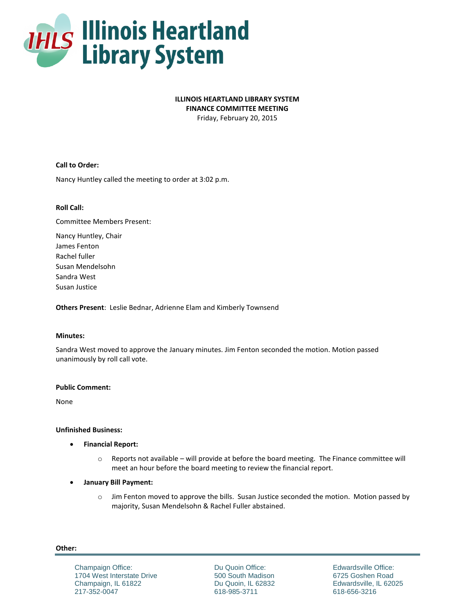

# **ILLINOIS HEARTLAND LIBRARY SYSTEM**

**FINANCE COMMITTEE MEETING**

Friday, February 20, 2015

## **Call to Order:**

Nancy Huntley called the meeting to order at 3:02 p.m.

## **Roll Call:**

Committee Members Present:

Nancy Huntley, Chair James Fenton Rachel fuller Susan Mendelsohn Sandra West Susan Justice

**Others Present**: Leslie Bednar, Adrienne Elam and Kimberly Townsend

### **Minutes:**

Sandra West moved to approve the January minutes. Jim Fenton seconded the motion. Motion passed unanimously by roll call vote.

### **Public Comment:**

None

### **Unfinished Business:**

- **Financial Report:** 
	- o Reports not available will provide at before the board meeting. The Finance committee will meet an hour before the board meeting to review the financial report.
- **January Bill Payment:** 
	- o Jim Fenton moved to approve the bills. Susan Justice seconded the motion. Motion passed by majority, Susan Mendelsohn & Rachel Fuller abstained.

#### **Other:**

Champaign Office: 1704 West Interstate Drive Champaign, IL 61822 217-352-0047

Du Quoin Office: 500 South Madison Du Quoin, IL 62832 618-985-3711

Edwardsville Office: 6725 Goshen Road Edwardsville, IL 62025 618-656-3216